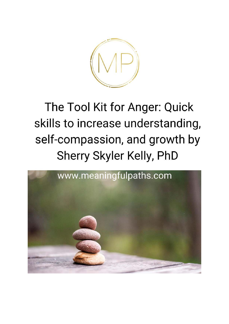

### The Tool Kit for Anger: Quick skills to increase understanding, self-compassion, and growth by Sherry Skyler Kelly, PhD

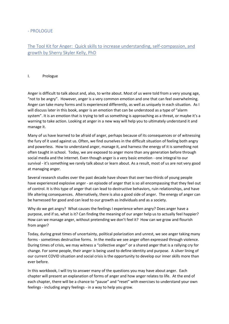### - PROLOGUE

### The Tool Kit for Anger: Quick skills to increase understanding, self-compassion, and growth by Sherry Skyler Kelly, PhD

### I. Prologue

Anger is difficult to talk about and, also, to write about. Most of us were told from a very young age, "not to be angry". However, anger is a very common emotion and one that can feel overwhelming. Anger can take many forms and is experienced differently, as well as uniquely in each situation. As I will discuss later in this book, anger is an emotion that can be understood as a type of "alarm system". It is an emotion that is trying to tell us something is approaching as a threat, or maybe it's a warning to take action. Looking at anger in a new way will help you to ultimately understand it and manage it.

Many of us have learned to be afraid of anger, perhaps because of its consequences or of witnessing the fury of it used against us. Often, we find ourselves in the difficult situation of feeling both angry and powerless. How to understand anger, manage it, and harness the energy of it is something not often taught in school. Today, we are exposed to anger more than any generation before through social media and the internet. Even though anger is a very basic emotion - one integral to our survival - it's something we rarely talk about or learn about. As a result, most of us are not very good at managing anger.

Several research studies over the past decade have shown that over two-thirds of young people have experienced explosive anger - an episode of anger that is so all encompassing that they feel out of control. It is this type of anger that can lead to destructive behaviors, ruin relationships, and have life altering consequences. Alternatively, there is also a good side of anger. The energy of anger can be harnessed for good and can lead to our growth as individuals and as a society.

Why do we get angry? What causes the feelings I experience when angry? Does anger have a purpose, and if so, what is it? Can finding the meaning of our anger help us to actually feel happier? How can we manage anger, without pretending we don't feel it? How can we grow and flourish from anger?

Today, during great times of uncertainty, political polarization and unrest, we see anger taking many forms - sometimes destructive forms. In the media we see anger often expressed through violence. During times of crisis, we may witness a "collective anger" or a shared anger that is a rallying cry for change. For some people, their anger is being used to define identity and purpose. A silver lining of our current COVID situation and social crisis is the opportunity to develop our inner skills more than ever before.

In this workbook, I will try to answer many of the questions you may have about anger. Each chapter will present an explanation of forms of anger and how anger relates to life. At the end of each chapter, there will be a chance to "pause" and "reset" with exercises to understand your own feelings - including angry feelings - in a way to help you grow.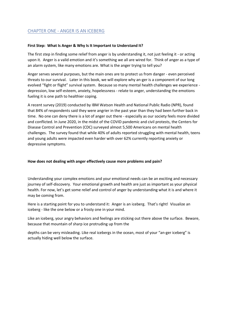### CHAPTER ONE - ANGER IS AN ICEBERG

### **First Step: What Is Anger & Why Is It Important to Understand It?**

The first step in finding some relief from anger is by understanding it, not just feeling it - or acting upon it. Anger is a valid emotion and it's something we all are wired for. Think of anger as a type of an alarm system, like many emotions are. What is the anger trying to tell you?

Anger serves several purposes, but the main ones are to protect us from danger - even perceived threats to our survival. Later in this book, we will explore why an-ger is a component of our long evolved "fight or flight" survival system. Because so many mental health challenges we experience depression, low self-esteem, anxiety, hopelessness - relate to anger, understanding the emotions fueling it is one path to healthier coping.

A recent survey (2019) conducted by IBM Watson Health and National Public Radio (NPR), found that 84% of respondents said they were angrier in the past year than they had been further back in time. No one can deny there is a lot of anger out there - especially as our society feels more divided and conflicted. In June 2020, in the midst of the COVID pandemic and civil protests, the Centers for Disease Control and Prevention (CDC) surveyed almost 5,500 Americans on mental health challenges. The survey found that while 40% of adults reported struggling with mental health, teens and young adults were impacted even harder with over 62% currently reporting anxiety or depressive symptoms.

### **How does not dealing with anger effectively cause more problems and pain?**

Understanding your complex emotions and your emotional needs can be an exciting and necessary journey of self-discovery. Your emotional growth and health are just as important as your physical health. For now, let's get some relief and control of anger by understanding what it is and where it may be coming from.

Here is a starting point for you to understand it: Anger is an iceberg. That's right! Visualize an iceberg - like the one below or a frosty one in your mind.

Like an iceberg, your angry behaviors and feelings are sticking out there above the surface. Beware, because that mountain of sharp ice protruding up from the

depths can be very misleading. Like real icebergs in the ocean, most of your "an-ger iceberg" is actually hiding well below the surface.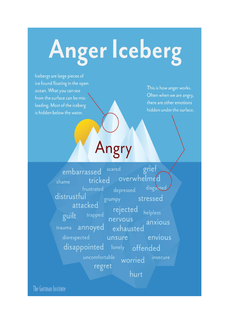# Anger Iceberg

Icebergs are large pieces of ice found floating in the open ocean. What you can see from the surface can be misleading. Most of the iceberg is hidden below the water.

This is how anger works. Often when we are angry, there are other emotions hidden under the surface.

## Angry

grief scared embarrassed overwhelmed tricked shame disgusted frustrated depressed distrustful stressed grumpy attacked rejected helpless trapped guilt nervous anxious annoyed trauma exhausted unsure disrespected envious disappointed lonely offended uncomfortable insecure worried regret hurt

The Gottman Institute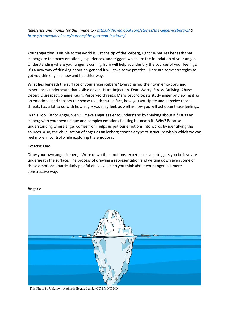*Reference and thanks for this image to [- https://thriveglobal.com/stories/the-anger-iceberg-2/](https://thriveglobal.com/stories/the-anger-iceberg-2/) & <https://thriveglobal.com/authors/the-gottman-institute/>*

Your anger that is visible to the world is just the tip of the iceberg, right? What lies beneath that iceberg are the many emotions, experiences, and triggers which are the foundation of your anger. Understanding where your anger is coming from will help you identify the sources of your feelings. It's a new way of thinking about an-ger and it will take some practice. Here are some strategies to get you thinking in a new and healthier way.

What lies beneath the surface of your anger iceberg? Everyone has their own emo-tions and experiences underneath that visible anger. Hurt. Rejection. Fear. Worry. Stress. Bullying. Abuse. Deceit. Disrespect. Shame. Guilt. Perceived threats. Many psychologists study anger by viewing it as an emotional and sensory re-sponse to a threat. In fact, how you anticipate and perceive those threats has a lot to do with how angry you may feel, as well as how you will act upon those feelings.

In this Tool Kit for Anger, we will make anger easier to understand by thinking about it first as an iceberg with your own unique and complex emotions floating be-neath it. Why? Because understanding where anger comes from helps us put our emotions into words by identifying the sources. Also, the visualization of anger as an iceberg creates a type of structure within which we can feel more in control while exploring the emotions.

### **Exercise One:**

Draw your own anger iceberg. Write down the emotions, experiences and triggers you believe are underneath the surface. The process of drawing a representation and writing down even some of those emotions - particularly painful ones - will help you think about your anger in a more constructive way.



### **Anger >**

This Photo by Unknown Author is licensed under CC BY-NC-ND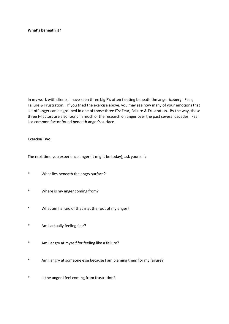### **What's beneath it?**

In my work with clients, I have seen three big F's often floating beneath the anger iceberg: Fear, Failure & Frustration. If you tried the exercise above, you may see how many of your emotions that set off anger can be grouped in one of those three F's: Fear, Failure & Frustration. By the way, these three F-factors are also found in much of the research on anger over the past several decades. Fear is a common factor found beneath anger's surface.

#### **Exercise Two:**

The next time you experience anger (it might be today), ask yourself:

- \* What lies beneath the angry surface?
- \* Where is my anger coming from?
- \* What am I afraid of that is at the root of my anger?
- \* Am I actually feeling fear?
- \* Am I angry at myself for feeling like a failure?
- \* Am I angry at someone else because I am blaming them for my failure?
- \* Is the anger I feel coming from frustration?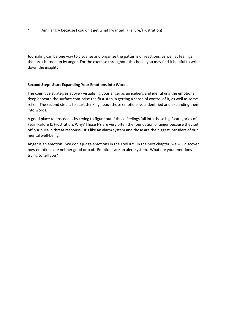\* Am I angry because I couldn't get what I wanted? (Failure/Frustration)

Journaling can be one way to visualize and organize the patterns of reactions, as well as feelings, that are churned up by anger. For the exercise throughout this book, you may find it helpful to write down the insights

### **Second Step: Start Expanding Your Emotions Into Words.**

The cognitive strategies above - visualizing your anger as an iceberg and identifying the emotions deep beneath the surface com-prise the first step in getting a sense of control of it, as well as some relief. The second step is to start thinking about those emotions you identified and expanding them into words.

A good place to proceed is by trying to figure out if those feelings fall into those big F categories of Fear, Failure & Frustration. Why? Those F's are very often the foundation of anger because they set off our built-in threat response. It's like an alarm system and those are the biggest intruders of our mental well-being.

Anger is an emotion. We don't judge emotions in the Tool Kit. In the next chapter, we will discover how emotions are neither good or bad. Emotions are an alert system. What are your emotions trying to tell you?